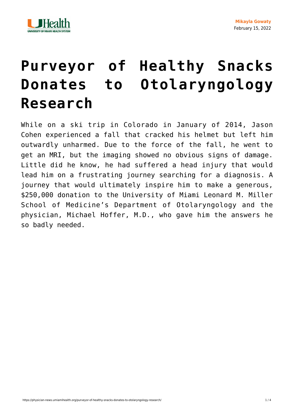

## **[Purveyor of Healthy Snacks](https://physician-news.umiamihealth.org/purveyor-of-healthy-snacks-donates-to-otolaryngology-research/) [Donates to Otolaryngology](https://physician-news.umiamihealth.org/purveyor-of-healthy-snacks-donates-to-otolaryngology-research/) [Research](https://physician-news.umiamihealth.org/purveyor-of-healthy-snacks-donates-to-otolaryngology-research/)**

While on a ski trip in Colorado in January of 2014, Jason Cohen experienced a fall that cracked his helmet but left him outwardly unharmed. Due to the force of the fall, he went to get an MRI, but the imaging showed no obvious signs of damage. Little did he know, he had suffered a head injury that would lead him on a frustrating journey searching for a diagnosis. A journey that would ultimately inspire him to make a generous, \$250,000 donation to the University of Miami Leonard M. Miller School of Medicine's Department of Otolaryngology and the physician, Michael Hoffer, M.D., who gave him the answers he so badly needed.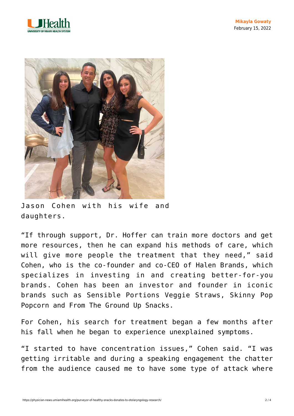



Jason Cohen with his wife and daughters.

"If through support, Dr. Hoffer can train more doctors and get more resources, then he can expand his methods of care, which will give more people the treatment that they need," said Cohen, who is the co-founder and co-CEO of Halen Brands, which specializes in investing in and creating better-for-you brands. Cohen has been an investor and founder in iconic brands such as Sensible Portions Veggie Straws, Skinny Pop Popcorn and From The Ground Up Snacks.

For Cohen, his search for treatment began a few months after his fall when he began to experience unexplained symptoms.

"I started to have concentration issues," Cohen said. "I was getting irritable and during a speaking engagement the chatter from the audience caused me to have some type of attack where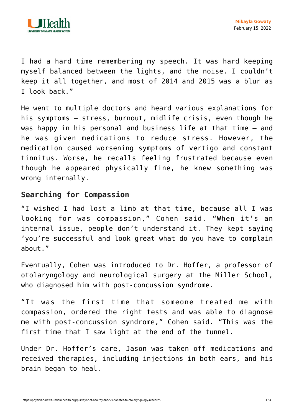

I had a hard time remembering my speech. It was hard keeping myself balanced between the lights, and the noise. I couldn't keep it all together, and most of 2014 and 2015 was a blur as I look back."

He went to multiple doctors and heard various explanations for his symptoms — stress, burnout, midlife crisis, even though he was happy in his personal and business life at that time — and he was given medications to reduce stress. However, the medication caused worsening symptoms of vertigo and constant tinnitus. Worse, he recalls feeling frustrated because even though he appeared physically fine, he knew something was wrong internally.

## **Searching for Compassion**

"I wished I had lost a limb at that time, because all I was looking for was compassion," Cohen said. "When it's an internal issue, people don't understand it. They kept saying 'you're successful and look great what do you have to complain about."

Eventually, Cohen was introduced to Dr. Hoffer, a professor of otolaryngology and neurological surgery at the Miller School, who diagnosed him with post-concussion syndrome.

"It was the first time that someone treated me with compassion, ordered the right tests and was able to diagnose me with post-concussion syndrome," Cohen said. "This was the first time that I saw light at the end of the tunnel.

Under Dr. Hoffer's care, Jason was taken off medications and received therapies, including injections in both ears, and his brain began to heal.